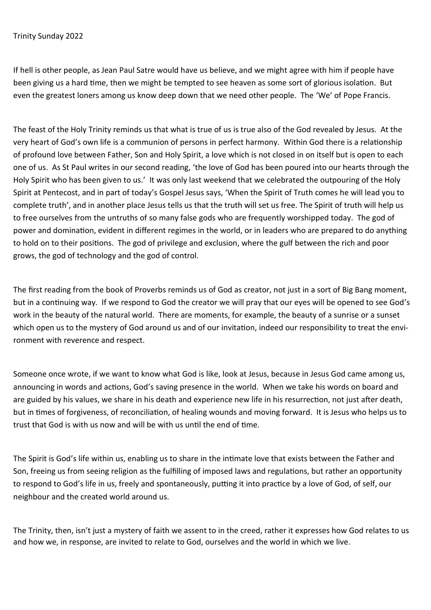## Trinity Sunday 2022

If hell is other people, as Jean Paul Satre would have us believe, and we might agree with him if people have been giving us a hard time, then we might be tempted to see heaven as some sort of glorious isolation. But even the greatest loners among us know deep down that we need other people. The 'We' of Pope Francis.

The feast of the Holy Trinity reminds us that what is true of us is true also of the God revealed by Jesus. At the very heart of God's own life is a communion of persons in perfect harmony. Within God there is a relationship of profound love between Father, Son and Holy Spirit, a love which is not closed in on itself but is open to each one of us. As St Paul writes in our second reading, 'the love of God has been poured into our hearts through the Holy Spirit who has been given to us.' It was only last weekend that we celebrated the outpouring of the Holy Spirit at Pentecost, and in part of today's Gospel Jesus says, 'When the Spirit of Truth comes he will lead you to complete truth', and in another place Jesus tells us that the truth will set us free. The Spirit of truth will help us to free ourselves from the untruths of so many false gods who are frequently worshipped today. The god of power and domination, evident in different regimes in the world, or in leaders who are prepared to do anything to hold on to their positions. The god of privilege and exclusion, where the gulf between the rich and poor grows, the god of technology and the god of control.

The first reading from the book of Proverbs reminds us of God as creator, not just in a sort of Big Bang moment, but in a continuing way. If we respond to God the creator we will pray that our eyes will be opened to see God's work in the beauty of the natural world. There are moments, for example, the beauty of a sunrise or a sunset which open us to the mystery of God around us and of our invitation, indeed our responsibility to treat the environment with reverence and respect.

Someone once wrote, if we want to know what God is like, look at Jesus, because in Jesus God came among us, announcing in words and actions, God's saving presence in the world. When we take his words on board and are guided by his values, we share in his death and experience new life in his resurrection, not just after death, but in times of forgiveness, of reconciliation, of healing wounds and moving forward. It is Jesus who helps us to trust that God is with us now and will be with us until the end of time.

The Spirit is God's life within us, enabling us to share in the intimate love that exists between the Father and Son, freeing us from seeing religion as the fulfilling of imposed laws and regulations, but rather an opportunity to respond to God's life in us, freely and spontaneously, putting it into practice by a love of God, of self, our neighbour and the created world around us.

The Trinity, then, isn't just a mystery of faith we assent to in the creed, rather it expresses how God relates to us and how we, in response, are invited to relate to God, ourselves and the world in which we live.